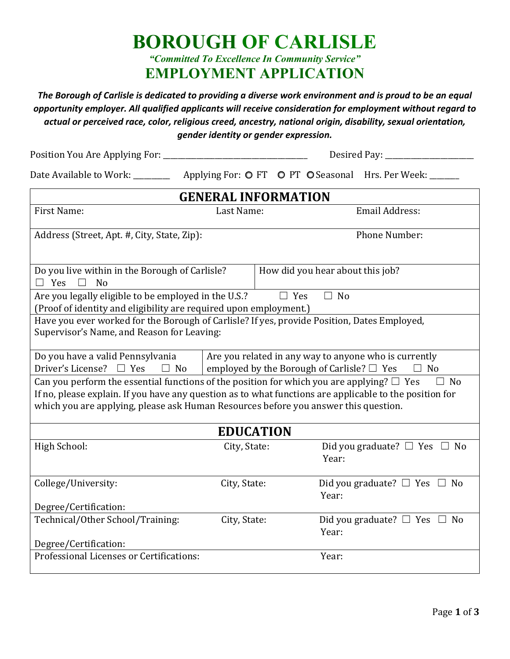**BOROUGH OF CARLISLE** *"Committed To Excellence In Community Service"* **EMPLOYMENT APPLICATION** 

*The Borough of Carlisle is dedicated to providing a diverse work environment and is proud to be an equal opportunity employer. All qualified applicants will receive consideration for employment without regard to actual or perceived race, color, religious creed, ancestry, national origin, disability, sexual orientation, gender identity or gender expression.*

Position You Are Applying For: \_\_\_\_\_\_\_\_\_\_\_\_\_\_\_\_\_\_\_\_\_\_\_\_\_\_\_\_\_\_\_\_\_\_\_\_\_\_\_ Desired Pay: \_\_\_\_\_\_\_\_\_\_\_\_\_\_\_\_\_\_\_\_\_\_\_\_

Date Available to Work: \_\_\_\_\_\_\_\_\_\_\_\_\_ Applying For: O FT O PT O Seasonal Hrs. Per Week: \_\_\_\_\_\_\_

| <b>GENERAL INFORMATION</b>                                                                                                                                                                                                                                                                       |              |            |                                                           |
|--------------------------------------------------------------------------------------------------------------------------------------------------------------------------------------------------------------------------------------------------------------------------------------------------|--------------|------------|-----------------------------------------------------------|
| First Name:                                                                                                                                                                                                                                                                                      | Last Name:   |            | Email Address:                                            |
| Address (Street, Apt. #, City, State, Zip):                                                                                                                                                                                                                                                      |              |            | <b>Phone Number:</b>                                      |
| Do you live within in the Borough of Carlisle?<br>No<br>Yes                                                                                                                                                                                                                                      |              |            | How did you hear about this job?                          |
| Are you legally eligible to be employed in the U.S.?<br>(Proof of identity and eligibility are required upon employment.)                                                                                                                                                                        |              | $\Box$ Yes | $\Box$ No                                                 |
| Have you ever worked for the Borough of Carlisle? If yes, provide Position, Dates Employed,<br>Supervisor's Name, and Reason for Leaving:                                                                                                                                                        |              |            |                                                           |
| Do you have a valid Pennsylvania<br>Are you related in any way to anyone who is currently<br>Driver's License?<br>employed by the Borough of Carlisle? $\Box$ Yes<br>$\Box$ Yes<br>N <sub>0</sub><br>N <sub>0</sub>                                                                              |              |            |                                                           |
| Can you perform the essential functions of the position for which you are applying? $\Box$ Yes<br>If no, please explain. If you have any question as to what functions are applicable to the position for<br>which you are applying, please ask Human Resources before you answer this question. |              |            | No                                                        |
| <b>EDUCATION</b>                                                                                                                                                                                                                                                                                 |              |            |                                                           |
| High School:                                                                                                                                                                                                                                                                                     | City, State: |            | Did you graduate? $\Box$ Yes [<br>N <sub>0</sub><br>Year: |
| College/University:                                                                                                                                                                                                                                                                              | City, State: |            | Did you graduate? $\Box$ Yes $\Box$ No<br>Year:           |
| Degree/Certification:                                                                                                                                                                                                                                                                            |              |            |                                                           |
| Technical/Other School/Training:<br>Degree/Certification:                                                                                                                                                                                                                                        | City, State: |            | Did you graduate? $\Box$ Yes $\Box$ No<br>Year:           |
| Professional Licenses or Certifications:                                                                                                                                                                                                                                                         |              |            | Year:                                                     |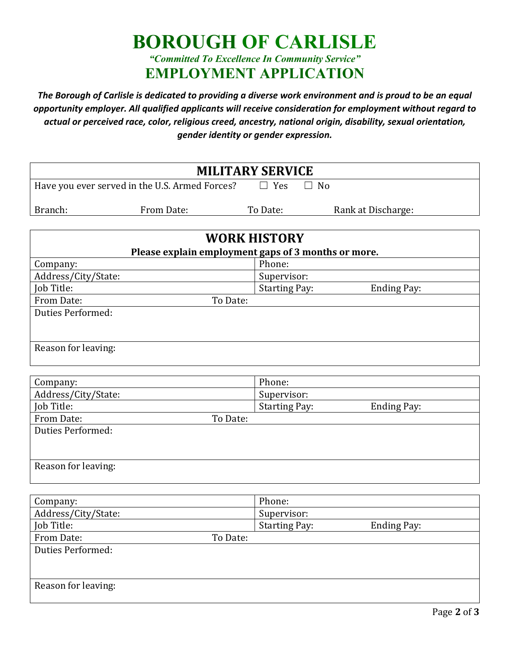## **BOROUGH OF CARLISLE** *"Committed To Excellence In Community Service"* **EMPLOYMENT APPLICATION**

*The Borough of Carlisle is dedicated to providing a diverse work environment and is proud to be an equal opportunity employer. All qualified applicants will receive consideration for employment without regard to actual or perceived race, color, religious creed, ancestry, national origin, disability, sexual orientation, gender identity or gender expression.*

|         |                                                | <b>MILITARY SERVICE</b> |                    |  |
|---------|------------------------------------------------|-------------------------|--------------------|--|
|         | Have you ever served in the U.S. Armed Forces? | Yes                     | ∣ I No             |  |
| Branch: | From Date:                                     | To Date:                | Rank at Discharge: |  |

| <b>WORK HISTORY</b>                                 |                      |             |
|-----------------------------------------------------|----------------------|-------------|
| Please explain employment gaps of 3 months or more. |                      |             |
| Company:                                            | Phone:               |             |
| Address/City/State:                                 | Supervisor:          |             |
| Job Title:                                          | <b>Starting Pay:</b> | Ending Pay: |
| From Date:<br>To Date:                              |                      |             |
| <b>Duties Performed:</b>                            |                      |             |
|                                                     |                      |             |
|                                                     |                      |             |
| Reason for leaving:                                 |                      |             |
|                                                     |                      |             |

| Company:                 | Phone:                              |
|--------------------------|-------------------------------------|
| Address/City/State:      | Supervisor:                         |
| Job Title:               | <b>Starting Pay:</b><br>Ending Pay: |
| From Date:<br>To Date:   |                                     |
| <b>Duties Performed:</b> |                                     |
|                          |                                     |
|                          |                                     |
| Reason for leaving:      |                                     |
|                          |                                     |

| Company:               | Phone:               |             |
|------------------------|----------------------|-------------|
| Address/City/State:    | Supervisor:          |             |
| Job Title:             | <b>Starting Pay:</b> | Ending Pay: |
| From Date:<br>To Date: |                      |             |
| Duties Performed:      |                      |             |
|                        |                      |             |
|                        |                      |             |
| Reason for leaving:    |                      |             |
|                        |                      |             |